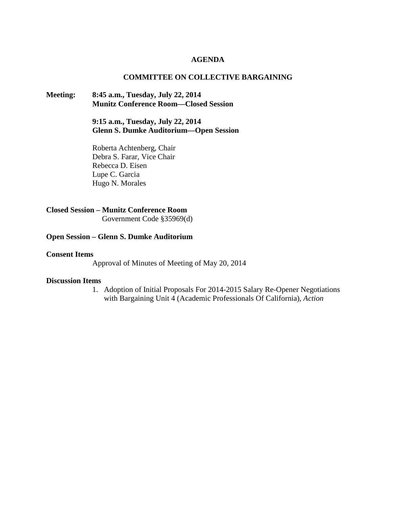### **AGENDA**

### **COMMITTEE ON COLLECTIVE BARGAINING**

### **Meeting: 8:45 a.m., Tuesday, July 22, 2014 Munitz Conference Room—Closed Session**

**9:15 a.m., Tuesday, July 22, 2014 Glenn S. Dumke Auditorium—Open Session**

Roberta Achtenberg, Chair Debra S. Farar, Vice Chair Rebecca D. Eisen Lupe C. Garcia Hugo N. Morales

## **Closed Session – Munitz Conference Room**

Government Code §35969(d)

### **Open Session – Glenn S. Dumke Auditorium**

### **Consent Items**

Approval of Minutes of Meeting of May 20, 2014

#### **Discussion Items**

1. Adoption of Initial Proposals For 2014-2015 Salary Re-Opener Negotiations with Bargaining Unit 4 (Academic Professionals Of California), *Action*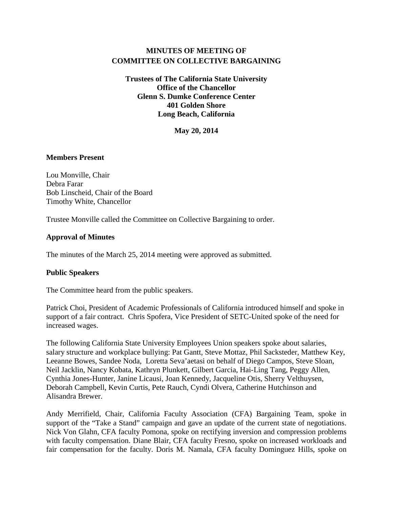# **MINUTES OF MEETING OF COMMITTEE ON COLLECTIVE BARGAINING**

**Trustees of The California State University Office of the Chancellor Glenn S. Dumke Conference Center 401 Golden Shore Long Beach, California**

**May 20, 2014**

### **Members Present**

Lou Monville, Chair Debra Farar Bob Linscheid, Chair of the Board Timothy White, Chancellor

Trustee Monville called the Committee on Collective Bargaining to order.

### **Approval of Minutes**

The minutes of the March 25, 2014 meeting were approved as submitted.

### **Public Speakers**

The Committee heard from the public speakers.

Patrick Choi, President of Academic Professionals of California introduced himself and spoke in support of a fair contract. Chris Spofera, Vice President of SETC-United spoke of the need for increased wages.

The following California State University Employees Union speakers spoke about salaries, salary structure and workplace bullying: Pat Gantt, Steve Mottaz, Phil Sacksteder, Matthew Key, Leeanne Bowes, Sandee Noda, Loretta Seva'aetasi on behalf of Diego Campos, Steve Sloan, Neil Jacklin, Nancy Kobata, Kathryn Plunkett, Gilbert Garcia, Hai-Ling Tang, Peggy Allen, Cynthia Jones-Hunter, Janine Licausi, Joan Kennedy, Jacqueline Otis, Sherry Velthuysen, Deborah Campbell, Kevin Curtis, Pete Rauch, Cyndi Olvera, Catherine Hutchinson and Alisandra Brewer.

Andy Merrifield, Chair, California Faculty Association (CFA) Bargaining Team, spoke in support of the "Take a Stand" campaign and gave an update of the current state of negotiations. Nick Von Glahn, CFA faculty Pomona, spoke on rectifying inversion and compression problems with faculty compensation. Diane Blair, CFA faculty Fresno, spoke on increased workloads and fair compensation for the faculty. Doris M. Namala, CFA faculty Dominguez Hills, spoke on